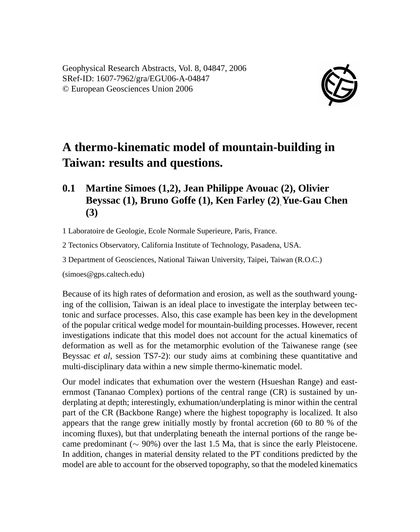

## **A thermo-kinematic model of mountain-building in Taiwan: results and questions.**

## **0.1 Martine Simoes (1,2), Jean Philippe Avouac (2), Olivier Beyssac (1), Bruno Goffe (1), Ken Farley (2)**,**Yue-Gau Chen (3)**

1 Laboratoire de Geologie, Ecole Normale Superieure, Paris, France.

2 Tectonics Observatory, California Institute of Technology, Pasadena, USA.

3 Department of Geosciences, National Taiwan University, Taipei, Taiwan (R.O.C.)

(simoes@gps.caltech.edu)

Because of its high rates of deformation and erosion, as well as the southward younging of the collision, Taiwan is an ideal place to investigate the interplay between tectonic and surface processes. Also, this case example has been key in the development of the popular critical wedge model for mountain-building processes. However, recent investigations indicate that this model does not account for the actual kinematics of deformation as well as for the metamorphic evolution of the Taiwanese range (see Beyssac *et al*, session TS7-2): our study aims at combining these quantitative and multi-disciplinary data within a new simple thermo-kinematic model.

Our model indicates that exhumation over the western (Hsueshan Range) and easternmost (Tananao Complex) portions of the central range (CR) is sustained by underplating at depth; interestingly, exhumation/underplating is minor within the central part of the CR (Backbone Range) where the highest topography is localized. It also appears that the range grew initially mostly by frontal accretion (60 to 80 % of the incoming fluxes), but that underplating beneath the internal portions of the range became predominant ( $\sim$  90%) over the last 1.5 Ma, that is since the early Pleistocene. In addition, changes in material density related to the PT conditions predicted by the model are able to account for the observed topography, so that the modeled kinematics